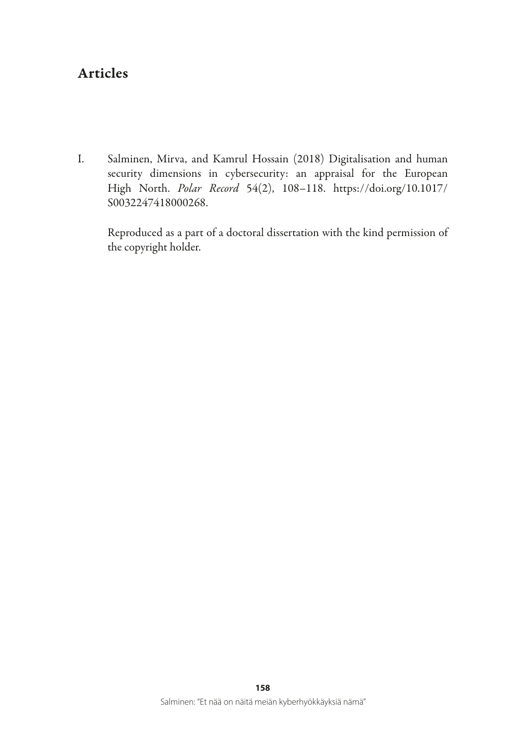# Articles

I. Salminen, Mirva, and Kamrul Hossain (2018) Digitalisation and human security dimensions in cybersecurity: an appraisal for the European High North. *Polar Record* 54(2), 108–118. https://doi.org/10.1017/ S0032247418000268.

Reproduced as a part of a doctoral dissertation with the kind permission of the copyright holder.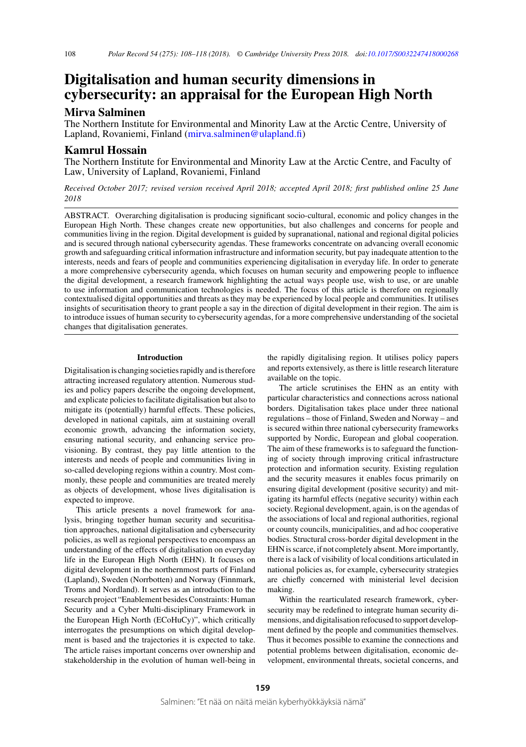# **Digitalisation and human security dimensions in cybersecurity: an appraisal for the European High North**

# **Mirva Salminen**

The Northern Institute for Environmental and Minority Law at the Arctic Centre, University of Lapland, Rovaniemi, Finland (mirva.salminen@ulapland.fi)

# **Kamrul Hossain**

The Northern Institute for Environmental and Minority Law at the Arctic Centre, and Faculty of Law, University of Lapland, Rovaniemi, Finland

*Received October 2017; revised version received April 2018; accepted April 2018; first published online 25 June 2018*

ABSTRACT. Overarching digitalisation is producing significant socio-cultural, economic and policy changes in the European High North. These changes create new opportunities, but also challenges and concerns for people and communities living in the region. Digital development is guided by supranational, national and regional digital policies and is secured through national cybersecurity agendas. These frameworks concentrate on advancing overall economic growth and safeguarding critical information infrastructure and information security, but pay inadequate attention to the interests, needs and fears of people and communities experiencing digitalisation in everyday life. In order to generate a more comprehensive cybersecurity agenda, which focuses on human security and empowering people to influence the digital development, a research framework highlighting the actual ways people use, wish to use, or are unable to use information and communication technologies is needed. The focus of this article is therefore on regionally contextualised digital opportunities and threats as they may be experienced by local people and communities. It utilises insights of securitisation theory to grant people a say in the direction of digital development in their region. The aim is to introduce issues of human security to cybersecurity agendas, for a more comprehensive understanding of the societal changes that digitalisation generates.

#### **Introduction**

Digitalisation is changing societies rapidly and is therefore attracting increased regulatory attention. Numerous studies and policy papers describe the ongoing development, and explicate policies to facilitate digitalisation but also to mitigate its (potentially) harmful effects. These policies, developed in national capitals, aim at sustaining overall economic growth, advancing the information society, ensuring national security, and enhancing service provisioning. By contrast, they pay little attention to the interests and needs of people and communities living in so-called developing regions within a country. Most commonly, these people and communities are treated merely as objects of development, whose lives digitalisation is expected to improve.

This article presents a novel framework for analysis, bringing together human security and securitisation approaches, national digitalisation and cybersecurity policies, as well as regional perspectives to encompass an understanding of the effects of digitalisation on everyday life in the European High North (EHN). It focuses on digital development in the northernmost parts of Finland (Lapland), Sweden (Norrbotten) and Norway (Finnmark, Troms and Nordland). It serves as an introduction to the research project "Enablement besides Constraints: Human Security and a Cyber Multi-disciplinary Framework in the European High North (ECoHuCy)", which critically interrogates the presumptions on which digital development is based and the trajectories it is expected to take. The article raises important concerns over ownership and stakeholdership in the evolution of human well-being in

the rapidly digitalising region. It utilises policy papers and reports extensively, as there is little research literature available on the topic.

The article scrutinises the EHN as an entity with particular characteristics and connections across national borders. Digitalisation takes place under three national regulations – those of Finland, Sweden and Norway – and is secured within three national cybersecurity frameworks supported by Nordic, European and global cooperation. The aim of these frameworks is to safeguard the functioning of society through improving critical infrastructure protection and information security. Existing regulation and the security measures it enables focus primarily on ensuring digital development (positive security) and mitigating its harmful effects (negative security) within each society. Regional development, again, is on the agendas of the associations of local and regional authorities, regional or county councils, municipalities, and ad hoc cooperative bodies. Structural cross-border digital development in the EHN is scarce, if not completely absent.More importantly, there is a lack of visibility of local conditions articulated in national policies as, for example, cybersecurity strategies are chiefly concerned with ministerial level decision making.

Within the rearticulated research framework, cybersecurity may be redefined to integrate human security dimensions, and digitalisation refocused to support development defined by the people and communities themselves. Thus it becomes possible to examine the connections and potential problems between digitalisation, economic development, environmental threats, societal concerns, and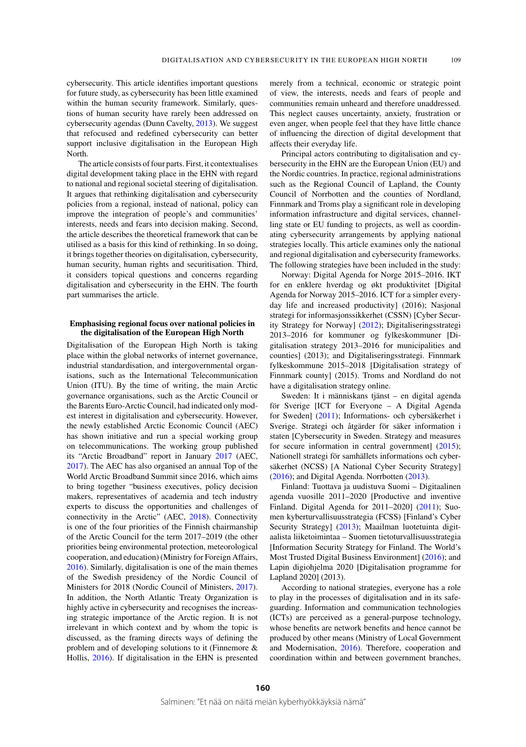cybersecurity. This article identifies important questions for future study, as cybersecurity has been little examined within the human security framework. Similarly, questions of human security have rarely been addressed on cybersecurity agendas (Dunn Cavelty, 2013). We suggest that refocused and redefined cybersecurity can better support inclusive digitalisation in the European High North.

The article consists of four parts. First, it contextualises digital development taking place in the EHN with regard to national and regional societal steering of digitalisation. It argues that rethinking digitalisation and cybersecurity policies from a regional, instead of national, policy can improve the integration of people's and communities' interests, needs and fears into decision making. Second, the article describes the theoretical framework that can be utilised as a basis for this kind of rethinking. In so doing, it brings together theories on digitalisation, cybersecurity, human security, human rights and securitisation. Third, it considers topical questions and concerns regarding digitalisation and cybersecurity in the EHN. The fourth part summarises the article.

### **Emphasising regional focus over national policies in the digitalisation of the European High North**

Digitalisation of the European High North is taking place within the global networks of internet governance, industrial standardisation, and intergovernmental organisations, such as the International Telecommunication Union (ITU). By the time of writing, the main Arctic governance organisations, such as the Arctic Council or the Barents Euro-Arctic Council, had indicated only modest interest in digitalisation and cybersecurity. However, the newly established Arctic Economic Council (AEC) has shown initiative and run a special working group on telecommunications. The working group published its "Arctic Broadband" report in January 2017 (AEC, 2017). The AEC has also organised an annual Top of the World Arctic Broadband Summit since 2016, which aims to bring together "business executives, policy decision makers, representatives of academia and tech industry experts to discuss the opportunities and challenges of connectivity in the Arctic" (AEC, 2018). Connectivity is one of the four priorities of the Finnish chairmanship of the Arctic Council for the term 2017–2019 (the other priorities being environmental protection, meteorological cooperation, and education) (Ministry for Foreign Affairs, 2016). Similarly, digitalisation is one of the main themes of the Swedish presidency of the Nordic Council of Ministers for 2018 (Nordic Council of Ministers, 2017). In addition, the North Atlantic Treaty Organization is highly active in cybersecurity and recognises the increasing strategic importance of the Arctic region. It is not irrelevant in which context and by whom the topic is discussed, as the framing directs ways of defining the problem and of developing solutions to it (Finnemore & Hollis, 2016). If digitalisation in the EHN is presented

merely from a technical, economic or strategic point of view, the interests, needs and fears of people and communities remain unheard and therefore unaddressed. This neglect causes uncertainty, anxiety, frustration or even anger, when people feel that they have little chance of influencing the direction of digital development that affects their everyday life.

Principal actors contributing to digitalisation and cybersecurity in the EHN are the European Union (EU) and the Nordic countries. In practice, regional administrations such as the Regional Council of Lapland, the County Council of Norrbotten and the counties of Nordland, Finnmark and Troms play a significant role in developing information infrastructure and digital services, channelling state or EU funding to projects, as well as coordinating cybersecurity arrangements by applying national strategies locally. This article examines only the national and regional digitalisation and cybersecurity frameworks. The following strategies have been included in the study:

Norway: Digital Agenda for Norge 2015–2016. IKT for en enklere hverdag og økt produktivitet [Digital Agenda for Norway 2015–2016. ICT for a simpler everyday life and increased productivity] (2016); Nasjonal strategi for informasjonssikkerhet (CSSN) [Cyber Security Strategy for Norway] (2012); Digitaliseringsstrategi 2013–2016 for kommuner og fylkeskommuner [Digitalisation strategy 2013–2016 for municipalities and counties] (2013); and Digitaliseringsstrategi. Finnmark fylkeskommune 2015–2018 [Digitalisation strategy of Finnmark county] (2015). Troms and Nordland do not have a digitalisation strategy online.

Sweden: It i människans tjänst – en digital agenda för Sverige [ICT for Everyone – A Digital Agenda for Sweden] (2011); Informations- och cybersäkerhet i Sverige. Strategi och åtgärder för säker information i staten [Cybersecurity in Sweden. Strategy and measures for secure information in central government] (2015); Nationell strategi för samhällets informations och cybersäkerhet (NCSS) [A National Cyber Security Strategy] (2016); and Digital Agenda. Norrbotten (2013).

Finland: Tuottava ja uudistuva Suomi – Digitaalinen agenda vuosille 2011–2020 [Productive and inventive Finland. Digital Agenda for 2011–2020] (2011); Suomen kyberturvallisuusstrategia (FCSS) [Finland's Cyber Security Strategy] (2013); Maailman luotetuinta digitaalista liiketoimintaa – Suomen tietoturvallisuusstrategia [Information Security Strategy for Finland. The World's Most Trusted Digital Business Environment] (2016); and Lapin digiohjelma 2020 [Digitalisation programme for Lapland 2020] (2013).

According to national strategies, everyone has a role to play in the processes of digitalisation and in its safeguarding. Information and communication technologies (ICTs) are perceived as a general-purpose technology, whose benefits are network benefits and hence cannot be produced by other means (Ministry of Local Government and Modernisation, 2016). Therefore, cooperation and coordination within and between government branches,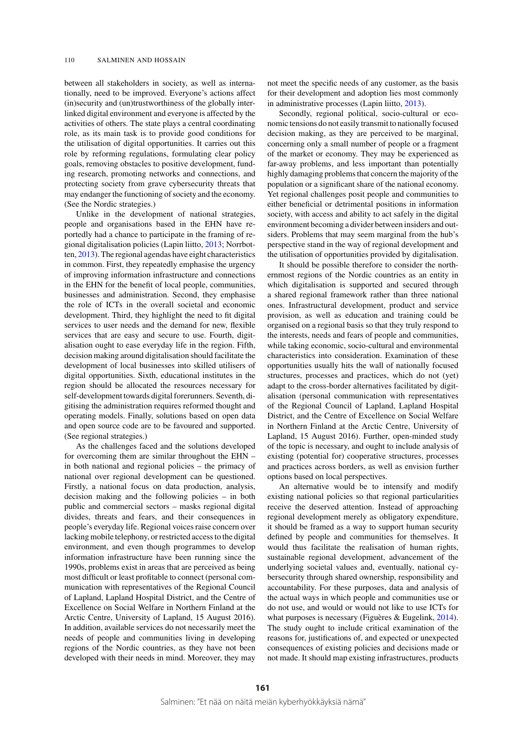between all stakeholders in society, as well as internationally, need to be improved. Everyone's actions affect (in)security and (un)trustworthiness of the globally interlinked digital environment and everyone is affected by the activities of others. The state plays a central coordinating role, as its main task is to provide good conditions for the utilisation of digital opportunities. It carries out this role by reforming regulations, formulating clear policy goals, removing obstacles to positive development, funding research, promoting networks and connections, and protecting society from grave cybersecurity threats that may endanger the functioning of society and the economy. (See the Nordic strategies.)

Unlike in the development of national strategies, people and organisations based in the EHN have reportedly had a chance to participate in the framing of regional digitalisation policies (Lapin liitto, 2013; Norrbotten, 2013). The regional agendas have eight characteristics in common. First, they repeatedly emphasise the urgency of improving information infrastructure and connections in the EHN for the benefit of local people, communities, businesses and administration. Second, they emphasise the role of ICTs in the overall societal and economic development. Third, they highlight the need to fit digital services to user needs and the demand for new, flexible services that are easy and secure to use. Fourth, digitalisation ought to ease everyday life in the region. Fifth, decision making around digitalisation should facilitate the development of local businesses into skilled utilisers of digital opportunities. Sixth, educational institutes in the region should be allocated the resources necessary for self-development towards digital forerunners. Seventh, digitising the administration requires reformed thought and operating models. Finally, solutions based on open data and open source code are to be favoured and supported. (See regional strategies.)

As the challenges faced and the solutions developed for overcoming them are similar throughout the EHN – in both national and regional policies – the primacy of national over regional development can be questioned. Firstly, a national focus on data production, analysis, decision making and the following policies – in both public and commercial sectors – masks regional digital divides, threats and fears, and their consequences in people's everyday life. Regional voices raise concern over lacking mobile telephony, or restricted access to the digital environment, and even though programmes to develop information infrastructure have been running since the 1990s, problems exist in areas that are perceived as being most difficult or least profitable to connect (personal communication with representatives of the Regional Council of Lapland, Lapland Hospital District, and the Centre of Excellence on Social Welfare in Northern Finland at the Arctic Centre, University of Lapland, 15 August 2016). In addition, available services do not necessarily meet the needs of people and communities living in developing regions of the Nordic countries, as they have not been developed with their needs in mind. Moreover, they may

not meet the specific needs of any customer, as the basis for their development and adoption lies most commonly in administrative processes (Lapin liitto, 2013).

Secondly, regional political, socio-cultural or economic tensions do not easily transmit to nationally focused decision making, as they are perceived to be marginal, concerning only a small number of people or a fragment of the market or economy. They may be experienced as far-away problems, and less important than potentially highly damaging problems that concern the majority of the population or a significant share of the national economy. Yet regional challenges posit people and communities to either beneficial or detrimental positions in information society, with access and ability to act safely in the digital environment becoming a divider between insiders and outsiders. Problems that may seem marginal from the hub's perspective stand in the way of regional development and the utilisation of opportunities provided by digitalisation.

It should be possible therefore to consider the northernmost regions of the Nordic countries as an entity in which digitalisation is supported and secured through a shared regional framework rather than three national ones. Infrastructural development, product and service provision, as well as education and training could be organised on a regional basis so that they truly respond to the interests, needs and fears of people and communities, while taking economic, socio-cultural and environmental characteristics into consideration. Examination of these opportunities usually hits the wall of nationally focused structures, processes and practices, which do not (yet) adapt to the cross-border alternatives facilitated by digitalisation (personal communication with representatives of the Regional Council of Lapland, Lapland Hospital District, and the Centre of Excellence on Social Welfare in Northern Finland at the Arctic Centre, University of Lapland, 15 August 2016). Further, open-minded study of the topic is necessary, and ought to include analysis of existing (potential for) cooperative structures, processes and practices across borders, as well as envision further options based on local perspectives.

An alternative would be to intensify and modify existing national policies so that regional particularities receive the deserved attention. Instead of approaching regional development merely as obligatory expenditure, it should be framed as a way to support human security defined by people and communities for themselves. It would thus facilitate the realisation of human rights, sustainable regional development, advancement of the underlying societal values and, eventually, national cybersecurity through shared ownership, responsibility and accountability. For these purposes, data and analysis of the actual ways in which people and communities use or do not use, and would or would not like to use ICTs for what purposes is necessary (Figuères & Eugelink, 2014). The study ought to include critical examination of the reasons for, justifications of, and expected or unexpected consequences of existing policies and decisions made or not made. It should map existing infrastructures, products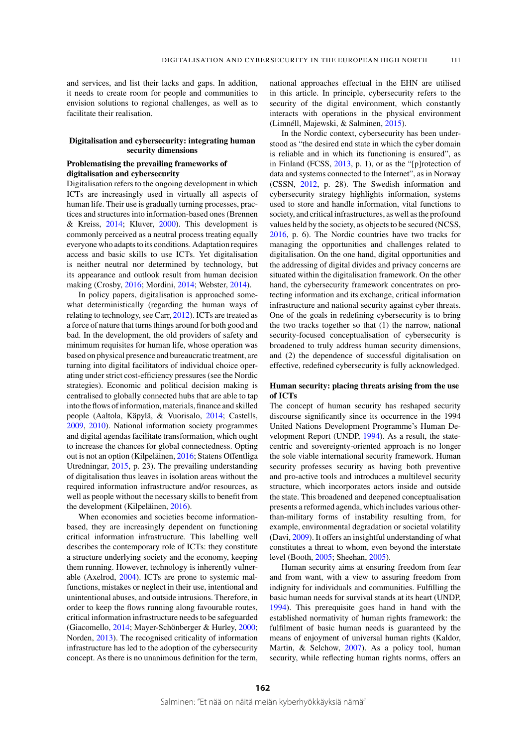and services, and list their lacks and gaps. In addition, it needs to create room for people and communities to envision solutions to regional challenges, as well as to facilitate their realisation.

### **Digitalisation and cybersecurity: integrating human security dimensions**

### **Problematising the prevailing frameworks of digitalisation and cybersecurity**

Digitalisation refers to the ongoing development in which ICTs are increasingly used in virtually all aspects of human life. Their use is gradually turning processes, practices and structures into information-based ones (Brennen & Kreiss, 2014; Kluver, 2000). This development is commonly perceived as a neutral process treating equally everyone who adapts to its conditions. Adaptation requires access and basic skills to use ICTs. Yet digitalisation is neither neutral nor determined by technology, but its appearance and outlook result from human decision making (Crosby, 2016; Mordini, 2014; Webster, 2014).

In policy papers, digitalisation is approached somewhat deterministically (regarding the human ways of relating to technology, see Carr, 2012). ICTs are treated as a force of nature that turns things around for both good and bad. In the development, the old providers of safety and minimum requisites for human life, whose operation was based on physical presence and bureaucratic treatment, are turning into digital facilitators of individual choice operating under strict cost-efficiency pressures (see the Nordic strategies). Economic and political decision making is centralised to globally connected hubs that are able to tap into the flows of information, materials, finance and skilled people (Aaltola, Käpylä, & Vuorisalo, 2014; Castells, 2009, 2010). National information society programmes and digital agendas facilitate transformation, which ought to increase the chances for global connectedness. Opting out is not an option (Kilpeläinen, 2016; Statens Offentliga Utredningar, 2015, p. 23). The prevailing understanding of digitalisation thus leaves in isolation areas without the required information infrastructure and/or resources, as well as people without the necessary skills to benefit from the development (Kilpeläinen, 2016).

When economies and societies become informationbased, they are increasingly dependent on functioning critical information infrastructure. This labelling well describes the contemporary role of ICTs: they constitute a structure underlying society and the economy, keeping them running. However, technology is inherently vulnerable (Axelrod, 2004). ICTs are prone to systemic malfunctions, mistakes or neglect in their use, intentional and unintentional abuses, and outside intrusions. Therefore, in order to keep the flows running along favourable routes, critical information infrastructure needs to be safeguarded (Giacomello, 2014; Mayer-Schönberger & Hurley, 2000; Norden, 2013). The recognised criticality of information infrastructure has led to the adoption of the cybersecurity concept. As there is no unanimous definition for the term,

national approaches effectual in the EHN are utilised in this article. In principle, cybersecurity refers to the security of the digital environment, which constantly interacts with operations in the physical environment (Limnéll, Majewski, & Salminen, 2015).

In the Nordic context, cybersecurity has been understood as "the desired end state in which the cyber domain is reliable and in which its functioning is ensured", as in Finland (FCSS, 2013, p. 1), or as the "[p]rotection of data and systems connected to the Internet", as in Norway (CSSN, 2012, p. 28). The Swedish information and cybersecurity strategy highlights information, systems used to store and handle information, vital functions to society, and critical infrastructures, as well as the profound values held by the society, as objects to be secured (NCSS, 2016, p. 6). The Nordic countries have two tracks for managing the opportunities and challenges related to digitalisation. On the one hand, digital opportunities and the addressing of digital divides and privacy concerns are situated within the digitalisation framework. On the other hand, the cybersecurity framework concentrates on protecting information and its exchange, critical information infrastructure and national security against cyber threats. One of the goals in redefining cybersecurity is to bring the two tracks together so that (1) the narrow, national security-focused conceptualisation of cybersecurity is broadened to truly address human security dimensions, and (2) the dependence of successful digitalisation on effective, redefined cybersecurity is fully acknowledged.

## **Human security: placing threats arising from the use of ICTs**

The concept of human security has reshaped security discourse significantly since its occurrence in the 1994 United Nations Development Programme's Human Development Report (UNDP, 1994). As a result, the statecentric and sovereignty-oriented approach is no longer the sole viable international security framework. Human security professes security as having both preventive and pro-active tools and introduces a multilevel security structure, which incorporates actors inside and outside the state. This broadened and deepened conceptualisation presents a reformed agenda, which includes various otherthan-military forms of instability resulting from, for example, environmental degradation or societal volatility (Davi, 2009). It offers an insightful understanding of what constitutes a threat to whom, even beyond the interstate level (Booth, 2005; Sheehan, 2005).

Human security aims at ensuring freedom from fear and from want, with a view to assuring freedom from indignity for individuals and communities. Fulfilling the basic human needs for survival stands at its heart (UNDP, 1994). This prerequisite goes hand in hand with the established normativity of human rights framework: the fulfilment of basic human needs is guaranteed by the means of enjoyment of universal human rights (Kaldor, Martin, & Selchow, 2007). As a policy tool, human security, while reflecting human rights norms, offers an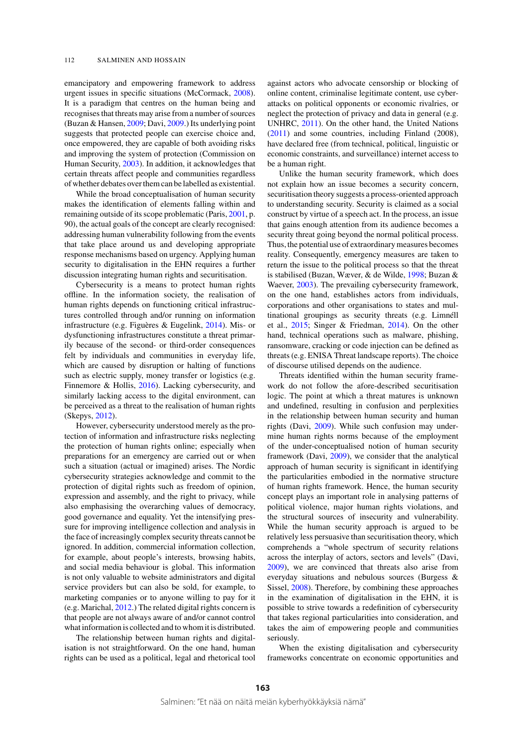emancipatory and empowering framework to address urgent issues in specific situations (McCormack, 2008). It is a paradigm that centres on the human being and recognises that threats may arise from a number of sources (Buzan & Hansen, 2009; Davi, 2009.) Its underlying point suggests that protected people can exercise choice and, once empowered, they are capable of both avoiding risks and improving the system of protection (Commission on Human Security, 2003). In addition, it acknowledges that certain threats affect people and communities regardless of whether debates over them can be labelled as existential.

While the broad conceptualisation of human security makes the identification of elements falling within and remaining outside of its scope problematic (Paris, 2001, p. 90), the actual goals of the concept are clearly recognised: addressing human vulnerability following from the events that take place around us and developing appropriate response mechanisms based on urgency. Applying human security to digitalisation in the EHN requires a further discussion integrating human rights and securitisation.

Cybersecurity is a means to protect human rights offline. In the information society, the realisation of human rights depends on functioning critical infrastructures controlled through and/or running on information infrastructure (e.g. Figuères & Eugelink, 2014). Mis- or dysfunctioning infrastructures constitute a threat primarily because of the second- or third-order consequences felt by individuals and communities in everyday life, which are caused by disruption or halting of functions such as electric supply, money transfer or logistics (e.g. Finnemore & Hollis, 2016). Lacking cybersecurity, and similarly lacking access to the digital environment, can be perceived as a threat to the realisation of human rights (Skepys, 2012).

However, cybersecurity understood merely as the protection of information and infrastructure risks neglecting the protection of human rights online; especially when preparations for an emergency are carried out or when such a situation (actual or imagined) arises. The Nordic cybersecurity strategies acknowledge and commit to the protection of digital rights such as freedom of opinion, expression and assembly, and the right to privacy, while also emphasising the overarching values of democracy, good governance and equality. Yet the intensifying pressure for improving intelligence collection and analysis in the face of increasingly complex security threats cannot be ignored. In addition, commercial information collection, for example, about people's interests, browsing habits, and social media behaviour is global. This information is not only valuable to website administrators and digital service providers but can also be sold, for example, to marketing companies or to anyone willing to pay for it (e.g. Marichal, 2012.) The related digital rights concern is that people are not always aware of and/or cannot control what information is collected and to whom it is distributed.

The relationship between human rights and digitalisation is not straightforward. On the one hand, human rights can be used as a political, legal and rhetorical tool against actors who advocate censorship or blocking of online content, criminalise legitimate content, use cyberattacks on political opponents or economic rivalries, or neglect the protection of privacy and data in general (e.g. UNHRC, 2011). On the other hand, the United Nations (2011) and some countries, including Finland (2008), have declared free (from technical, political, linguistic or economic constraints, and surveillance) internet access to be a human right.

Unlike the human security framework, which does not explain how an issue becomes a security concern, securitisation theory suggests a process-oriented approach to understanding security. Security is claimed as a social construct by virtue of a speech act. In the process, an issue that gains enough attention from its audience becomes a security threat going beyond the normal political process. Thus, the potential use of extraordinary measures becomes reality. Consequently, emergency measures are taken to return the issue to the political process so that the threat is stabilised (Buzan, Wæver, & de Wilde, 1998; Buzan & Waever, 2003). The prevailing cybersecurity framework, on the one hand, establishes actors from individuals, corporations and other organisations to states and multinational groupings as security threats (e.g. Limnéll et al., 2015; Singer & Friedman, 2014). On the other hand, technical operations such as malware, phishing, ransomware, cracking or code injection can be defined as threats (e.g. ENISA Threat landscape reports). The choice of discourse utilised depends on the audience.

Threats identified within the human security framework do not follow the afore-described securitisation logic. The point at which a threat matures is unknown and undefined, resulting in confusion and perplexities in the relationship between human security and human rights (Davi, 2009). While such confusion may undermine human rights norms because of the employment of the under-conceptualised notion of human security framework (Davi, 2009), we consider that the analytical approach of human security is significant in identifying the particularities embodied in the normative structure of human rights framework. Hence, the human security concept plays an important role in analysing patterns of political violence, major human rights violations, and the structural sources of insecurity and vulnerability. While the human security approach is argued to be relatively less persuasive than securitisation theory, which comprehends a "whole spectrum of security relations across the interplay of actors, sectors and levels" (Davi, 2009), we are convinced that threats also arise from everyday situations and nebulous sources (Burgess & Sissel, 2008). Therefore, by combining these approaches in the examination of digitalisation in the EHN, it is possible to strive towards a redefinition of cybersecurity that takes regional particularities into consideration, and takes the aim of empowering people and communities seriously.

When the existing digitalisation and cybersecurity frameworks concentrate on economic opportunities and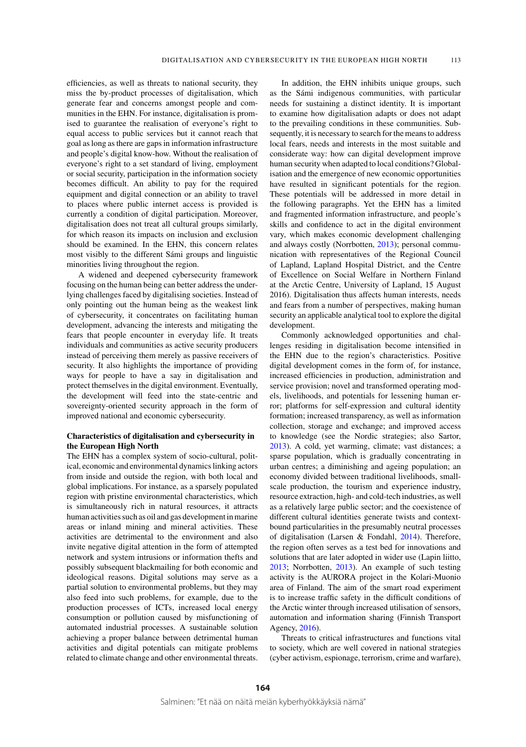efficiencies, as well as threats to national security, they miss the by-product processes of digitalisation, which generate fear and concerns amongst people and communities in the EHN. For instance, digitalisation is promised to guarantee the realisation of everyone's right to equal access to public services but it cannot reach that goal as long as there are gaps in information infrastructure and people's digital know-how. Without the realisation of everyone's right to a set standard of living, employment or social security, participation in the information society becomes difficult. An ability to pay for the required equipment and digital connection or an ability to travel to places where public internet access is provided is currently a condition of digital participation. Moreover, digitalisation does not treat all cultural groups similarly, for which reason its impacts on inclusion and exclusion should be examined. In the EHN, this concern relates most visibly to the different Sámi groups and linguistic minorities living throughout the region.

A widened and deepened cybersecurity framework focusing on the human being can better address the underlying challenges faced by digitalising societies. Instead of only pointing out the human being as the weakest link of cybersecurity, it concentrates on facilitating human development, advancing the interests and mitigating the fears that people encounter in everyday life. It treats individuals and communities as active security producers instead of perceiving them merely as passive receivers of security. It also highlights the importance of providing ways for people to have a say in digitalisation and protect themselves in the digital environment. Eventually, the development will feed into the state-centric and sovereignty-oriented security approach in the form of improved national and economic cybersecurity.

## **Characteristics of digitalisation and cybersecurity in the European High North**

The EHN has a complex system of socio-cultural, political, economic and environmental dynamics linking actors from inside and outside the region, with both local and global implications. For instance, as a sparsely populated region with pristine environmental characteristics, which is simultaneously rich in natural resources, it attracts human activities such as oil and gas development in marine areas or inland mining and mineral activities. These activities are detrimental to the environment and also invite negative digital attention in the form of attempted network and system intrusions or information thefts and possibly subsequent blackmailing for both economic and ideological reasons. Digital solutions may serve as a partial solution to environmental problems, but they may also feed into such problems, for example, due to the production processes of ICTs, increased local energy consumption or pollution caused by misfunctioning of automated industrial processes. A sustainable solution achieving a proper balance between detrimental human activities and digital potentials can mitigate problems related to climate change and other environmental threats.

In addition, the EHN inhibits unique groups, such as the Sámi indigenous communities, with particular needs for sustaining a distinct identity. It is important to examine how digitalisation adapts or does not adapt to the prevailing conditions in these communities. Subsequently, it is necessary to search for the means to address local fears, needs and interests in the most suitable and considerate way: how can digital development improve human security when adapted to local conditions? Globalisation and the emergence of new economic opportunities have resulted in significant potentials for the region. These potentials will be addressed in more detail in the following paragraphs. Yet the EHN has a limited and fragmented information infrastructure, and people's skills and confidence to act in the digital environment vary, which makes economic development challenging and always costly (Norrbotten, 2013); personal communication with representatives of the Regional Council of Lapland, Lapland Hospital District, and the Centre of Excellence on Social Welfare in Northern Finland at the Arctic Centre, University of Lapland, 15 August 2016). Digitalisation thus affects human interests, needs and fears from a number of perspectives, making human security an applicable analytical tool to explore the digital development.

Commonly acknowledged opportunities and challenges residing in digitalisation become intensified in the EHN due to the region's characteristics. Positive digital development comes in the form of, for instance, increased efficiencies in production, administration and service provision; novel and transformed operating models, livelihoods, and potentials for lessening human error; platforms for self-expression and cultural identity formation; increased transparency, as well as information collection, storage and exchange; and improved access to knowledge (see the Nordic strategies; also Sartor, 2013). A cold, yet warming, climate; vast distances; a sparse population, which is gradually concentrating in urban centres; a diminishing and ageing population; an economy divided between traditional livelihoods, smallscale production, the tourism and experience industry, resource extraction, high- and cold-tech industries, as well as a relatively large public sector; and the coexistence of different cultural identities generate twists and contextbound particularities in the presumably neutral processes of digitalisation (Larsen & Fondahl, 2014). Therefore, the region often serves as a test bed for innovations and solutions that are later adopted in wider use (Lapin liitto, 2013; Norrbotten, 2013). An example of such testing activity is the AURORA project in the Kolari-Muonio area of Finland. The aim of the smart road experiment is to increase traffic safety in the difficult conditions of the Arctic winter through increased utilisation of sensors, automation and information sharing (Finnish Transport Agency, 2016).

Threats to critical infrastructures and functions vital to society, which are well covered in national strategies (cyber activism, espionage, terrorism, crime and warfare),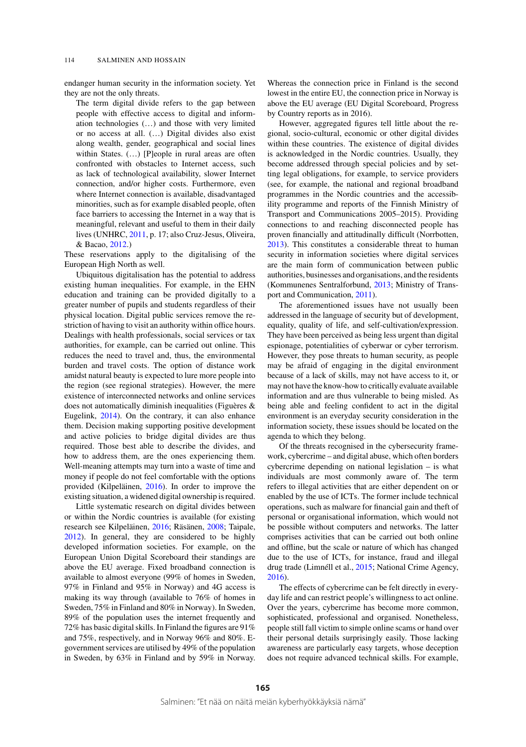endanger human security in the information society. Yet they are not the only threats.

The term digital divide refers to the gap between people with effective access to digital and information technologies (…) and those with very limited or no access at all. (…) Digital divides also exist along wealth, gender, geographical and social lines within States. (…) [P]eople in rural areas are often confronted with obstacles to Internet access, such as lack of technological availability, slower Internet connection, and/or higher costs. Furthermore, even where Internet connection is available, disadvantaged minorities, such as for example disabled people, often face barriers to accessing the Internet in a way that is meaningful, relevant and useful to them in their daily lives (UNHRC, 2011, p. 17; also Cruz-Jesus, Oliveira, & Bacao, 2012.)

These reservations apply to the digitalising of the European High North as well.

Ubiquitous digitalisation has the potential to address existing human inequalities. For example, in the EHN education and training can be provided digitally to a greater number of pupils and students regardless of their physical location. Digital public services remove the restriction of having to visit an authority within office hours. Dealings with health professionals, social services or tax authorities, for example, can be carried out online. This reduces the need to travel and, thus, the environmental burden and travel costs. The option of distance work amidst natural beauty is expected to lure more people into the region (see regional strategies). However, the mere existence of interconnected networks and online services does not automatically diminish inequalities (Figuères & Eugelink, 2014). On the contrary, it can also enhance them. Decision making supporting positive development and active policies to bridge digital divides are thus required. Those best able to describe the divides, and how to address them, are the ones experiencing them. Well-meaning attempts may turn into a waste of time and money if people do not feel comfortable with the options provided (Kilpeläinen, 2016). In order to improve the existing situation, a widened digital ownership is required.

Little systematic research on digital divides between or within the Nordic countries is available (for existing research see Kilpeläinen, 2016; Räsänen, 2008; Taipale, 2012). In general, they are considered to be highly developed information societies. For example, on the European Union Digital Scoreboard their standings are above the EU average. Fixed broadband connection is available to almost everyone (99% of homes in Sweden, 97% in Finland and 95% in Norway) and 4G access is making its way through (available to 76% of homes in Sweden, 75% in Finland and 80% in Norway). In Sweden, 89% of the population uses the internet frequently and 72% has basic digital skills. In Finland the figures are 91% and 75%, respectively, and in Norway 96% and 80%. Egovernment services are utilised by 49% of the population in Sweden, by 63% in Finland and by 59% in Norway.

Whereas the connection price in Finland is the second lowest in the entire EU, the connection price in Norway is above the EU average (EU Digital Scoreboard, Progress by Country reports as in 2016).

However, aggregated figures tell little about the regional, socio-cultural, economic or other digital divides within these countries. The existence of digital divides is acknowledged in the Nordic countries. Usually, they become addressed through special policies and by setting legal obligations, for example, to service providers (see, for example, the national and regional broadband programmes in the Nordic countries and the accessibility programme and reports of the Finnish Ministry of Transport and Communications 2005–2015). Providing connections to and reaching disconnected people has proven financially and attitudinally difficult (Norrbotten, 2013). This constitutes a considerable threat to human security in information societies where digital services are the main form of communication between public authorities, businesses and organisations, and the residents (Kommunenes Sentralforbund, 2013; Ministry of Transport and Communication, 2011).

The aforementioned issues have not usually been addressed in the language of security but of development, equality, quality of life, and self-cultivation/expression. They have been perceived as being less urgent than digital espionage, potentialities of cyberwar or cyber terrorism. However, they pose threats to human security, as people may be afraid of engaging in the digital environment because of a lack of skills, may not have access to it, or may not have the know-how to critically evaluate available information and are thus vulnerable to being misled. As being able and feeling confident to act in the digital environment is an everyday security consideration in the information society, these issues should be located on the agenda to which they belong.

Of the threats recognised in the cybersecurity framework, cybercrime – and digital abuse, which often borders cybercrime depending on national legislation – is what individuals are most commonly aware of. The term refers to illegal activities that are either dependent on or enabled by the use of ICTs. The former include technical operations, such as malware for financial gain and theft of personal or organisational information, which would not be possible without computers and networks. The latter comprises activities that can be carried out both online and offline, but the scale or nature of which has changed due to the use of ICTs, for instance, fraud and illegal drug trade (Limnéll et al., 2015; National Crime Agency, 2016).

The effects of cybercrime can be felt directly in everyday life and can restrict people's willingness to act online. Over the years, cybercrime has become more common, sophisticated, professional and organised. Nonetheless, people still fall victim to simple online scams or hand over their personal details surprisingly easily. Those lacking awareness are particularly easy targets, whose deception does not require advanced technical skills. For example,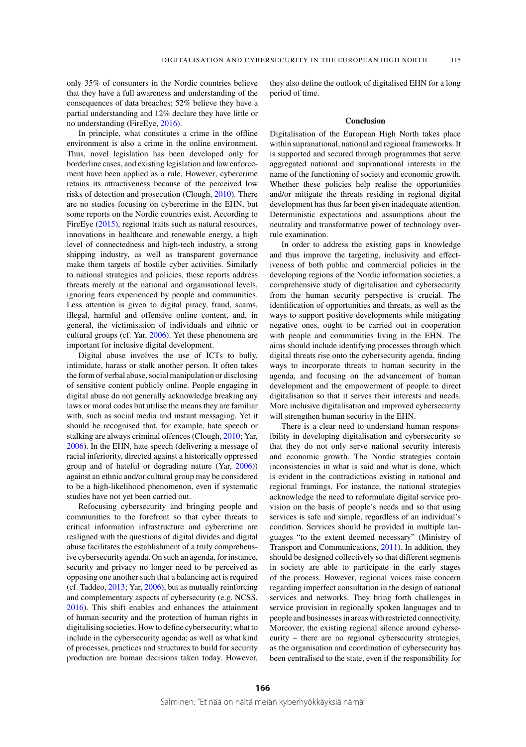only 35% of consumers in the Nordic countries believe that they have a full awareness and understanding of the consequences of data breaches; 52% believe they have a partial understanding and 12% declare they have little or no understanding (FireEye, 2016).

In principle, what constitutes a crime in the offline environment is also a crime in the online environment. Thus, novel legislation has been developed only for borderline cases, and existing legislation and law enforcement have been applied as a rule. However, cybercrime retains its attractiveness because of the perceived low risks of detection and prosecution (Clough, 2010). There are no studies focusing on cybercrime in the EHN, but some reports on the Nordic countries exist. According to FireEye (2015), regional traits such as natural resources, innovations in healthcare and renewable energy, a high level of connectedness and high-tech industry, a strong shipping industry, as well as transparent governance make them targets of hostile cyber activities. Similarly to national strategies and policies, these reports address threats merely at the national and organisational levels, ignoring fears experienced by people and communities. Less attention is given to digital piracy, fraud, scams, illegal, harmful and offensive online content, and, in general, the victimisation of individuals and ethnic or cultural groups (cf. Yar, 2006). Yet these phenomena are important for inclusive digital development.

Digital abuse involves the use of ICTs to bully, intimidate, harass or stalk another person. It often takes the form of verbal abuse, social manipulation or disclosing of sensitive content publicly online. People engaging in digital abuse do not generally acknowledge breaking any laws or moral codes but utilise the means they are familiar with, such as social media and instant messaging. Yet it should be recognised that, for example, hate speech or stalking are always criminal offences (Clough, 2010; Yar, 2006). In the EHN, hate speech (delivering a message of racial inferiority, directed against a historically oppressed group and of hateful or degrading nature (Yar, 2006)) against an ethnic and/or cultural group may be considered to be a high-likelihood phenomenon, even if systematic studies have not yet been carried out.

Refocusing cybersecurity and bringing people and communities to the forefront so that cyber threats to critical information infrastructure and cybercrime are realigned with the questions of digital divides and digital abuse facilitates the establishment of a truly comprehensive cybersecurity agenda. On such an agenda, for instance, security and privacy no longer need to be perceived as opposing one another such that a balancing act is required (cf. Taddeo, 2013; Yar, 2006), but as mutually reinforcing and complementary aspects of cybersecurity (e.g. NCSS, 2016). This shift enables and enhances the attainment of human security and the protection of human rights in digitalising societies. How to define cybersecurity; what to include in the cybersecurity agenda; as well as what kind of processes, practices and structures to build for security production are human decisions taken today. However,

they also define the outlook of digitalised EHN for a long period of time.

#### **Conclusion**

Digitalisation of the European High North takes place within supranational, national and regional frameworks. It is supported and secured through programmes that serve aggregated national and supranational interests in the name of the functioning of society and economic growth. Whether these policies help realise the opportunities and/or mitigate the threats residing in regional digital development has thus far been given inadequate attention. Deterministic expectations and assumptions about the neutrality and transformative power of technology overrule examination.

In order to address the existing gaps in knowledge and thus improve the targeting, inclusivity and effectiveness of both public and commercial policies in the developing regions of the Nordic information societies, a comprehensive study of digitalisation and cybersecurity from the human security perspective is crucial. The identification of opportunities and threats, as well as the ways to support positive developments while mitigating negative ones, ought to be carried out in cooperation with people and communities living in the EHN. The aims should include identifying processes through which digital threats rise onto the cybersecurity agenda, finding ways to incorporate threats to human security in the agenda, and focusing on the advancement of human development and the empowerment of people to direct digitalisation so that it serves their interests and needs. More inclusive digitalisation and improved cybersecurity will strengthen human security in the EHN.

There is a clear need to understand human responsibility in developing digitalisation and cybersecurity so that they do not only serve national security interests and economic growth. The Nordic strategies contain inconsistencies in what is said and what is done, which is evident in the contradictions existing in national and regional framings. For instance, the national strategies acknowledge the need to reformulate digital service provision on the basis of people's needs and so that using services is safe and simple, regardless of an individual's condition. Services should be provided in multiple languages "to the extent deemed necessary" (Ministry of Transport and Communications, 2011). In addition, they should be designed collectively so that different segments in society are able to participate in the early stages of the process. However, regional voices raise concern regarding imperfect consultation in the design of national services and networks. They bring forth challenges in service provision in regionally spoken languages and to people and businesses in areas with restricted connectivity. Moreover, the existing regional silence around cybersecurity – there are no regional cybersecurity strategies, as the organisation and coordination of cybersecurity has been centralised to the state, even if the responsibility for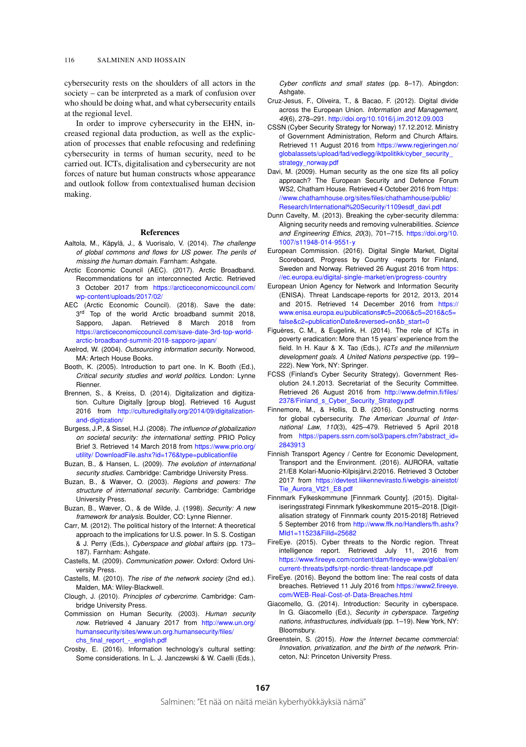cybersecurity rests on the shoulders of all actors in the society – can be interpreted as a mark of confusion over who should be doing what, and what cybersecurity entails at the regional level.

In order to improve cybersecurity in the EHN, increased regional data production, as well as the explication of processes that enable refocusing and redefining cybersecurity in terms of human security, need to be carried out. ICTs, digitalisation and cybersecurity are not forces of nature but human constructs whose appearance and outlook follow from contextualised human decision making.

#### **References**

- Aaltola, M., Käpylä, J., & Vuorisalo, V. (2014). *The challenge of global commons and flows for US power. The perils of missing the human domain*. Farnham: Ashgate.
- Arctic Economic Council (AEC). (2017). Arctic Broadband. Recommendations for an interconnected Arctic. Retrieved 3 October 2017 from https://arcticeconomiccouncil.com/ wp-content/uploads/2017/02/
- AEC (Arctic Economic Council). (2018). Save the date: 3<sup>rd</sup> Top of the world Arctic broadband summit 2018, Sapporo, Japan. Retrieved 8 March 2018 from https://arcticeconomiccouncil.com/save-date-3rd-top-worldarctic-broadband-summit-2018-sapporo-japan/
- Axelrod, W. (2004). *Outsourcing information security*. Norwood, MA: Artech House Books.
- Booth, K. (2005). Introduction to part one. In K. Booth (Ed.), *Critical security studies and world politics*. London: Lynne Rienner.
- Brennen, S., & Kreiss, D. (2014). Digitalization and digitization. Culture Digitally [group blog]. Retrieved 16 August 2016 from http://culturedigitally.org/2014/09/digitalizationand-digitization/
- Burgess, J.P., & Sissel, H.J. (2008). *The influence of globalization on societal security: the international setting*. PRIO Policy Brief 3. Retrieved 14 March 2018 from https://www.prio.org/ utility/ DownloadFile.ashx?id=176&type=publicationfile
- Buzan, B., & Hansen, L. (2009). *The evolution of international security studies*. Cambridge: Cambridge University Press.
- Buzan, B., & Wæver, O. (2003). *Regions and powers: The structure of international security*. Cambridge: Cambridge University Press.
- Buzan, B., Wæver, O., & de Wilde, J. (1998). *Security: A new framework for analysis*. Boulder, CO: Lynne Rienner.
- Carr, M. (2012). The political history of the Internet: A theoretical approach to the implications for U.S. power. In S. S. Costigan & J. Perry (Eds.), *Cyberspace and global affairs* (pp. 173– 187). Farnham: Ashgate.
- Castells, M. (2009). *Communication power*. Oxford: Oxford University Press.
- Castells, M. (2010). *The rise of the network society* (2nd ed.). Malden, MA: Wiley-Blackwell.
- Clough, J. (2010). *Principles of cybercrime*. Cambridge: Cambridge University Press.
- Commission on Human Security. (2003). *Human security now*. Retrieved 4 January 2017 from http://www.un.org/ humansecurity/sites/www.un.org.humansecurity/files/ chs\_final\_report\_-\_english.pdf
- Crosby, E. (2016). Information technology's cultural setting: Some considerations. In L. J. Janczewski & W. Caelli (Eds.),

*Cyber conflicts and small states* (pp. 8–17). Abingdon: Ashgate.

- Cruz-Jesus, F., Oliveira, T., & Bacao, F. (2012). Digital divide across the European Union. *Information and Management*, *49*(6), 278–291. http://doi.org/10.1016/j.im.2012.09.003
- CSSN (Cyber Security Strategy for Norway) 17.12.2012. Ministry of Government Administration, Reform and Church Affairs. Retrieved 11 August 2016 from https://www.regjeringen.no/ globalassets/upload/fad/vedlegg/iktpolitikk/cyber\_security\_ strategy\_norway.pdf
- Davi, M. (2009). Human security as the one size fits all policy approach? The European Security and Defence Forum WS2, Chatham House. Retrieved 4 October 2016 from https: //www.chathamhouse.org/sites/files/chathamhouse/public/ Research/International%20Security/1109esdf\_davi.pdf
- Dunn Cavelty, M. (2013). Breaking the cyber-security dilemma: Aligning security needs and removing vulnerabilities. *Science and Engineering Ethics*, *20*(3), 701–715. https://doi.org/10. 1007/s11948-014-9551-y
- European Commission. (2016). Digital Single Market, Digital Scoreboard, Progress by Country -reports for Finland, Sweden and Norway. Retrieved 26 August 2016 from https: //ec.europa.eu/digital-single-market/en/progress-country
- European Union Agency for Network and Information Security (ENISA). Threat Landscape-reports for 2012, 2013, 2014 and 2015. Retrieved 14 December 2016 from https:// www.enisa.europa.eu/publications#c5=2006&c5=2016&c5= false&c2=publicationDate&reversed=on&b\_start=0
- Figuères, C. M., & Eugelink, H. (2014). The role of ICTs in poverty eradication: More than 15 years' experience from the field. In H. Kaur & X. Tao (Eds.), *ICTs and the millennium development goals. A United Nations perspective* (pp. 199– 222). New York, NY: Springer.
- FCSS (Finland's Cyber Security Strategy). Government Resolution 24.1.2013. Secretariat of the Security Committee. Retrieved 26 August 2016 from http://www.defmin.fi/files/ 2378/Finland\_s\_Cyber\_Security\_Strategy.pdf
- Finnemore, M., & Hollis, D. B. (2016). Constructing norms for global cybersecurity. *The American Journal of International Law*, *110*(3), 425–479. Retrieved 5 April 2018 from https://papers.ssrn.com/sol3/papers.cfm?abstract\_id= 2843913
- Finnish Transport Agency / Centre for Economic Development, Transport and the Environment. (2016). AURORA, valtatie 21/E8 Kolari-Muonio-Kilpisjärvi.2/2016. Retrieved 3 October 2017 from https://devtest.liikennevirasto.fi/webgis-aineistot/ Tie\_Aurora\_Vt21\_E8.pdf
- Finnmark Fylkeskommune [Finnmark County]. (2015). Digitaliseringsstrategi Finnmark fylkeskommune 2015–2018. [Digitalisation strategy of Finnmark county 2015-2018] Retrieved 5 September 2016 from http://www.ffk.no/Handlers/fh.ashx? MId1=11523&FilId=25682
- FireEye. (2015). Cyber threats to the Nordic region. Threat intelligence report. Retrieved July 11, 2016 from https://www.fireeye.com/content/dam/fireeye-www/global/en/ current-threats/pdfs/rpt-nordic-threat-landscape.pdf
- FireEye. (2016). Beyond the bottom line: The real costs of data breaches. Retrieved 11 July 2016 from https://www2.fireeye. com/WEB-Real-Cost-of-Data-Breaches.html
- Giacomello, G. (2014). Introduction: Security in cyberspace. In G. Giacomello (Ed.), *Security in cyberspace. Targeting nations, infrastructures, individuals* (pp. 1–19). New York, NY: **Bloomsbury**
- Greenstein, S. (2015). *How the Internet became commercial: Innovation, privatization, and the birth of the network*. Princeton, NJ: Princeton University Press.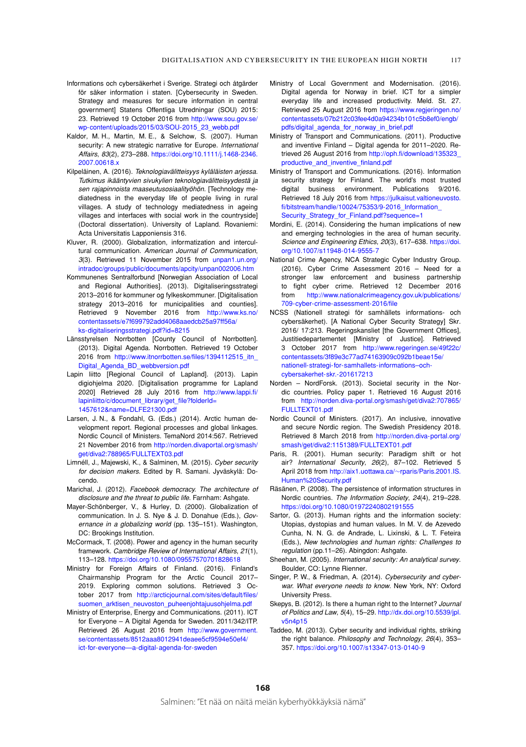- Informations och cybersäkerhet i Sverige. Strategi och åtgärder för säker information i staten. [Cybersecurity in Sweden. Strategy and measures for secure information in central government] Statens Offentliga Utredningar (SOU) 2015: 23. Retrieved 19 October 2016 from http://www.sou.gov.se/ wp-content/uploads/2015/03/SOU-2015\_23\_webb.pdf
- Kaldor, M. H., Martin, M. E., & Selchow, S. (2007). Human security: A new strategic narrative for Europe. *International Affairs*, *83*(2), 273–288. https://doi.org/10.1111/j.1468-2346. 2007.00618.x
- Kilpeläinen, A. (2016). *Teknologiavälitteisyys kyläläisten arjessa. Tutkimus ikääntyvien sivukylien teknologiavälitteisyydestä ja sen rajapinnoista maaseutusosiaalityöhön.* [Technology mediatedness in the everyday life of people living in rural villages. A study of technology mediatedness in ageing villages and interfaces with social work in the countryside] (Doctoral dissertation). University of Lapland. Rovaniemi: Acta Universitatis Lapponiensis 316.
- Kluver, R. (2000). Globalization, informatization and intercultural communication. *American Journal of Communication*, *3*(3). Retrieved 11 November 2015 from unpan1.un.org/ intradoc/groups/public/documents/apcity/unpan002006.htm
- Kommunenes Sentralforbund [Norwegian Association of Local and Regional Authorities]. (2013). Digitaliseringsstrategi 2013–2016 for kommuner og fylkeskommuner. [Digitalisation strategy 2013–2016 for municipalities and counties]. Retrieved 9 November 2016 from http://www.ks.no/ contentassets/e7f699792add4068aaedcb25a97ff56a/ ks-digitaliseringsstrategi.pdf?id=8215
- Länsstyrelsen Norrbotten [County Council of Norrbotten]. (2013). Digital Agenda. Norrbotten. Retrieved 19 October 2016 from http://www.itnorrbotten.se/files/1394112515\_itn\_ Digital\_Agenda\_BD\_webbversion.pdf
- Lapin liitto [Regional Council of Lapland]. (2013). Lapin digiohjelma 2020. [Digitalisation programme for Lapland 2020] Retrieved 28 July 2016 from http://www.lappi.fi/ lapinliitto/c/document\_library/get\_file?folderId= 1457612&name=DLFE21300.pdf
- Larsen, J. N., & Fondahl, G. (Eds.) (2014). Arctic human development report. Regional processes and global linkages. Nordic Council of Ministers. TemaNord 2014:567. Retrieved 21 November 2016 from http://norden.divaportal.org/smash/ get/diva2:788965/FULLTEXT03.pdf
- Limnéll, J., Majewski, K., & Salminen, M. (2015). *Cyber security for decision makers*. Edited by R. Samani. Jyväskylä: Docendo.
- Marichal, J. (2012). *Facebook democracy. The architecture of disclosure and the threat to public life*. Farnham: Ashgate.
- Mayer-Schönberger, V., & Hurley, D. (2000). Globalization of communication. In J. S. Nye & J. D. Donahue (Eds.), *Governance in a globalizing world* (pp. 135–151). Washington, DC: Brookings Institution.
- McCormack, T. (2008). Power and agency in the human security framework. *Cambridge Review of International Affairs*, *21*(1), 113–128. https://doi.org/10.1080/09557570701828618
- Ministry for Foreign Affairs of Finland. (2016). Finland's Chairmanship Program for the Arctic Council 2017– 2019. Exploring common solutions. Retrieved 3 October 2017 from http://arcticjournal.com/sites/default/files/ suomen\_arktisen\_neuvoston\_puheenjohtajuusohjelma.pdf
- Ministry of Enterprise, Energy and Communications. (2011). ICT for Everyone – A Digital Agenda for Sweden. 2011/342/ITP. Retrieved 26 August 2016 from http://www.government. se/contentassets/8512aaa8012941deaee5cf9594e50ef4/ ict-for-everyone—a-digital-agenda-for-sweden
- Ministry of Local Government and Modernisation. (2016). Digital agenda for Norway in brief. ICT for a simpler everyday life and increased productivity. Meld. St. 27. Retrieved 25 August 2016 from https://www.regjeringen.no/ contentassets/07b212c03fee4d0a94234b101c5b8ef0/engb/ pdfs/digital\_agenda\_for\_norway\_in\_brief.pdf
- Ministry of Transport and Communications. (2011). Productive and inventive Finland – Digital agenda for 2011–2020. Retrieved 26 August 2016 from http://oph.fi/download/135323\_ productive\_and\_inventive\_finland.pdf
- Ministry of Transport and Communications. (2016). Information security strategy for Finland. The world's most trusted digital business environment. Publications 9/2016. Retrieved 18 July 2016 from https://julkaisut.valtioneuvosto. fi/bitstream/handle/10024/75353/9-2016\_Information\_ Security\_Strategy\_for\_Finland.pdf?sequence=1
- Mordini, E. (2014). Considering the human implications of new and emerging technologies in the area of human security. *Science and Engineering Ethics*, *20*(3), 617–638. https://doi. org/10.1007/s11948-014-9555-7
- National Crime Agency, NCA Strategic Cyber Industry Group. (2016). Cyber Crime Assessment 2016 – Need for a stronger law enforcement and business partnership to fight cyber crime. Retrieved 12 December 2016 from http://www.nationalcrimeagency.gov.uk/publications/ 709-cyber-crime-assessment-2016/file
- NCSS (Nationell strategi för samhällets informations- och cybersäkerhet). [A National Cyber Security Strategy] Skr. 2016/ 17:213. Regeringskansliet [the Government Offices], Justitiedepartementet [Ministry of Justice]. Retrieved 3 October 2017 from http://www.regeringen.se/49f22c/ contentassets/3f89e3c77ad74163909c092b1beae15e/ nationell-strategi-for-samhallets-informations–ochcybersakerhet-skr.-201617213
- Norden NordForsk. (2013). Societal security in the Nordic countries. Policy paper 1. Retrieved 16 August 2016 from http://norden.diva-portal.org/smash/get/diva2:707865/ FULLTEXT01.pdf
- Nordic Council of Ministers. (2017). An inclusive, innovative and secure Nordic region. The Swedish Presidency 2018. Retrieved 8 March 2018 from http://norden.diva-portal.org/ smash/get/diva2:1151389/FULLTEXT01.pdf
- Paris, R. (2001). Human security: Paradigm shift or hot air? *International Security*, *26*(2), 87–102. Retrieved 5 April 2018 from http://aix1.uottawa.ca/∼rparis/Paris.2001.IS. Human%20Security.pdf
- Räsänen, P. (2008). The persistence of information structures in Nordic countries. *The Information Society*, *24*(4), 219–228. https://doi.org/10.1080/01972240802191555
- Sartor, G. (2013). Human rights and the information society: Utopias, dystopias and human values. In M. V. de Azevedo Cunha, N. N. G. de Andrade, L. Lixinski, & L. T. Feteira (Eds.), *New technologies and human rights: Challenges to regulation* (pp.11–26). Abingdon: Ashgate.
- Sheehan, M. (2005). *International security: An analytical survey*. Boulder, CO: Lynne Rienner.
- Singer, P. W., & Friedman, A. (2014). *Cybersecurity and cyberwar. What everyone needs to know*. New York, NY: Oxford University Press.
- Skepys, B. (2012). Is there a human right to the Internet? *Journal of Politics and Law*, *5*(4), 15–29. http://dx.doi.org/10.5539/jpl. v5n4p15
- Taddeo, M. (2013). Cyber security and individual rights, striking the right balance. *Philosophy and Technology*, *26*(4), 353– 357. https://doi.org/10.1007/s13347-013-0140-9